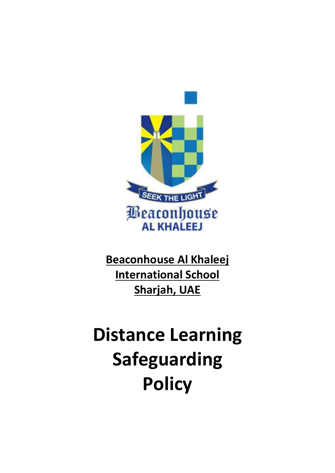

**Beaconhouse Al Khaleej International School Sharjah, UAE** 

# **Distance Learning Safeguarding Policy**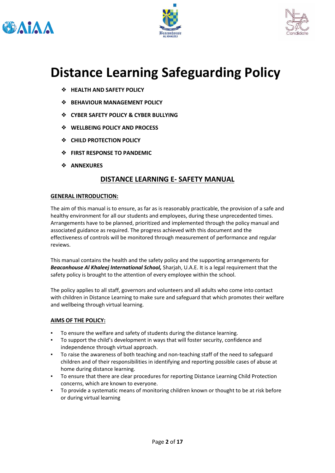





# **Distance Learning Safeguarding Policy**

- ❖ **HEALTH AND SAFETY POLICY**
- ❖ **BEHAVIOUR MANAGEMENT POLICY**
- ❖ **CYBER SAFETY POLICY & CYBER BULLYING**
- ❖ **WELLBEING POLICY AND PROCESS**
- ❖ **CHILD PROTECTION POLICY**
- ❖ **FIRST RESPONSE TO PANDEMIC**
- ❖ **ANNEXURES**

# **DISTANCE LEARNING E- SAFETY MANUAL**

#### **GENERAL INTRODUCTION:**

The aim of this manual is to ensure, as far as is reasonably practicable, the provision of a safe and healthy environment for all our students and employees, during these unprecedented times. Arrangements have to be planned, prioritized and implemented through the policy manual and associated guidance as required. The progress achieved with this document and the effectiveness of controls will be monitored through measurement of performance and regular reviews.

This manual contains the health and the safety policy and the supporting arrangements for *Beaconhouse Al Khaleej International School,* Sharjah, U.A.E. It is a legal requirement that the safety policy is brought to the attention of every employee within the school.

The policy applies to all staff, governors and volunteers and all adults who come into contact with children in Distance Learning to make sure and safeguard that which promotes their welfare and wellbeing through virtual learning.

#### **AIMS OF THE POLICY:**

- To ensure the welfare and safety of students during the distance learning.
- To support the child's development in ways that will foster security, confidence and independence through virtual approach.
- To raise the awareness of both teaching and non-teaching staff of the need to safeguard children and of their responsibilities in identifying and reporting possible cases of abuse at home during distance learning.
- To ensure that there are clear procedures for reporting Distance Learning Child Protection concerns, which are known to everyone.
- To provide a systematic means of monitoring children known or thought to be at risk before or during virtual learning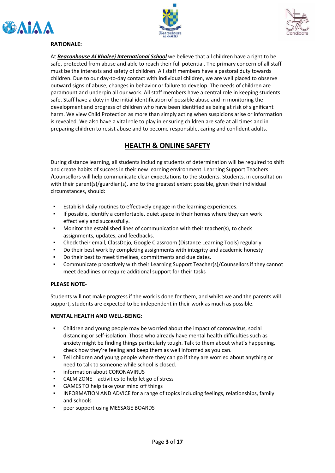





#### **RATIONALE:**

At *Beaconhouse Al Khaleej International School* we believe that all children have a right to be safe, protected from abuse and able to reach their full potential. The primary concern of all staff must be the interests and safety of children. All staff members have a pastoral duty towards children. Due to our day-to-day contact with individual children, we are well placed to observe outward signs of abuse, changes in behavior or failure to develop. The needs of children are paramount and underpin all our work. All staff members have a central role in keeping students safe. Staff have a duty in the initial identification of possible abuse and in monitoring the development and progress of children who have been identified as being at risk of significant harm. We view Child Protection as more than simply acting when suspicions arise or information is revealed. We also have a vital role to play in ensuring children are safe at all times and in preparing children to resist abuse and to become responsible, caring and confident adults.

# **HEALTH & ONLINE SAFETY**

During distance learning, all students including students of determination will be required to shift and create habits of success in their new learning environment. Learning Support Teachers /Counsellors will help communicate clear expectations to the students. Students, in consultation with their parent(s)/guardian(s), and to the greatest extent possible, given their individual circumstances, should:

- Establish daily routines to effectively engage in the learning experiences.
- If possible, identify a comfortable, quiet space in their homes where they can work effectively and successfully.
- Monitor the established lines of communication with their teacher(s), to check assignments, updates, and feedbacks.
- Check their email, ClassDojo, Google Classroom (Distance Learning Tools) regularly
- Do their best work by completing assignments with integrity and academic honesty
- Do their best to meet timelines, commitments and due dates.
- Communicate proactively with their Learning Support Teacher(s)/Counsellors if they cannot meet deadlines or require additional support for their tasks

#### **PLEASE NOTE**-

Students will not make progress if the work is done for them, and whilst we and the parents will support, students are expected to be independent in their work as much as possible.

#### **MENTAL HEALTH AND WELL-BEING:**

- Children and young people may be worried about the impact of coronavirus, social distancing or self-isolation. Those who already have mental health difficulties such as anxiety might be finding things particularly tough. Talk to them about what's happening, check how they're feeling and keep them as well informed as you can.
- Tell children and young people where they can go if they are worried about anything or need to talk to someone while school is closed.
- information about CORONAVIRUS
- $CALM ZONE activities to help let go of stress$
- GAMES TO help take your mind off things
- INFORMATION AND ADVICE for a range of topics including feelings, relationships, family and schools
- peer support using MESSAGE BOARDS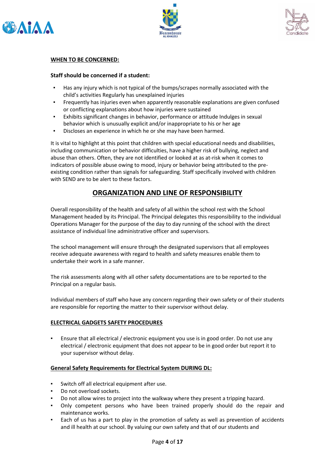





#### **WHEN TO BE CONCERNED:**

#### **Staff should be concerned if a student:**

- Has any injury which is not typical of the bumps/scrapes normally associated with the child's activities Regularly has unexplained injuries
- Frequently has injuries even when apparently reasonable explanations are given confused or conflicting explanations about how injuries were sustained
- Exhibits significant changes in behavior, performance or attitude Indulges in sexual behavior which is unusually explicit and/or inappropriate to his or her age
- Discloses an experience in which he or she may have been harmed.

It is vital to highlight at this point that children with special educational needs and disabilities, including communication or behavior difficulties, have a higher risk of bullying, neglect and abuse than others. Often, they are not identified or looked at as at-risk when it comes to indicators of possible abuse owing to mood, injury or behavior being attributed to the preexisting condition rather than signals for safeguarding. Staff specifically involved with children with SEND are to be alert to these factors.

## **ORGANIZATION AND LINE OF RESPONSIBILITY**

Overall responsibility of the health and safety of all within the school rest with the School Management headed by its Principal. The Principal delegates this responsibility to the individual Operations Manager for the purpose of the day to day running of the school with the direct assistance of individual line administrative officer and supervisors.

The school management will ensure through the designated supervisors that all employees receive adequate awareness with regard to health and safety measures enable them to undertake their work in a safe manner.

The risk assessments along with all other safety documentations are to be reported to the Principal on a regular basis.

Individual members of staff who have any concern regarding their own safety or of their students are responsible for reporting the matter to their supervisor without delay.

#### **ELECTRICAL GADGETS SAFETY PROCEDURES**

Ensure that all electrical / electronic equipment you use is in good order. Do not use any electrical / electronic equipment that does not appear to be in good order but report it to your supervisor without delay.

#### **General Safety Requirements for Electrical System DURING DL:**

- Switch off all electrical equipment after use.
- Do not overload sockets.
- Do not allow wires to project into the walkway where they present a tripping hazard.
- Only competent persons who have been trained properly should do the repair and maintenance works.
- Each of us has a part to play in the promotion of safety as well as prevention of accidents and ill health at our school. By valuing our own safety and that of our students and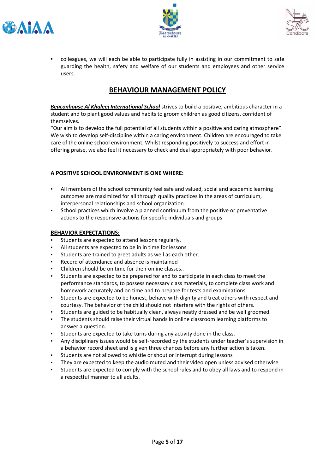





colleagues, we will each be able to participate fully in assisting in our commitment to safe guarding the health, safety and welfare of our students and employees and other service users.

# **BEHAVIOUR MANAGEMENT POLICY**

*Beaconhouse Al Khaleej International School* strives to build a positive, ambitious character in a student and to plant good values and habits to groom children as good citizens, confident of themselves.

"Our aim is to develop the full potential of all students within a positive and caring atmosphere". We wish to develop self-discipline within a caring environment. Children are encouraged to take care of the online school environment. Whilst responding positively to success and effort in offering praise, we also feel it necessary to check and deal appropriately with poor behavior.

#### **A POSITIVE SCHOOL ENVIRONMENT IS ONE WHERE:**

- All members of the school community feel safe and valued, social and academic learning outcomes are maximized for all through quality practices in the areas of curriculum, interpersonal relationships and school organization.
- School practices which involve a planned continuum from the positive or preventative actions to the responsive actions for specific individuals and groups

#### **BEHAVIOR EXPECTATIONS:**

- Students are expected to attend lessons regularly.
- All students are expected to be in in time for lessons
- Students are trained to greet adults as well as each other.
- Record of attendance and absence is maintained
- Children should be on time for their online classes..
- Students are expected to be prepared for and to participate in each class to meet the performance standards, to possess necessary class materials, to complete class work and homework accurately and on time and to prepare for tests and examinations.
- Students are expected to be honest, behave with dignity and treat others with respect and courtesy. The behavior of the child should not interfere with the rights of others.
- Students are guided to be habitually clean, always neatly dressed and be well groomed.
- The students should raise their virtual hands in online classroom learning platforms to answer a question.
- Students are expected to take turns during any activity done in the class.
- Any disciplinary issues would be self-recorded by the students under teacher's supervision in a behavior record sheet and is given three chances before any further action is taken.
- Students are not allowed to whistle or shout or interrupt during lessons
- They are expected to keep the audio muted and their video open unless advised otherwise
- Students are expected to comply with the school rules and to obey all laws and to respond in a respectful manner to all adults.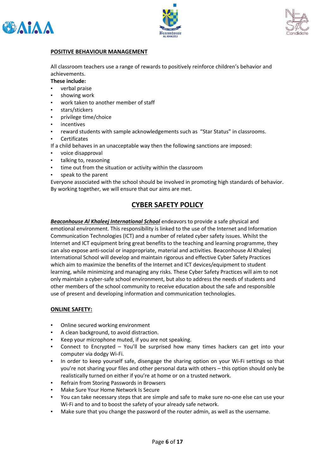





#### **POSITIVE BEHAVIOUR MANAGEMENT**

All classroom teachers use a range of rewards to positively reinforce children's behavior and achievements.

#### **These include:**

- verbal praise
- showing work
- work taken to another member of staff
- stars/stickers
- privilege time/choice
- incentives
- reward students with sample acknowledgements such as "Star Status" in classrooms.
- **Certificates**
- If a child behaves in an unacceptable way then the following sanctions are imposed:
- voice disapproval
- talking to, reasoning
- time out from the situation or activity within the classroom
- speak to the parent

Everyone associated with the school should be involved in promoting high standards of behavior. By working together, we will ensure that our aims are met.

# **CYBER SAFETY POLICY**

*Beaconhouse Al Khaleej International School* endeavors to provide a safe physical and emotional environment. This responsibility is linked to the use of the Internet and Information Communication Technologies (ICT) and a number of related cyber safety issues. Whilst the Internet and ICT equipment bring great benefits to the teaching and learning programme, they can also expose anti-social or inappropriate, material and activities. Beaconhouse Al Khaleej International School will develop and maintain rigorous and effective Cyber Safety Practices which aim to maximize the benefits of the Internet and ICT devices/equipment to student learning, while minimizing and managing any risks. These Cyber Safety Practices will aim to not only maintain a cyber-safe school environment, but also to address the needs of students and other members of the school community to receive education about the safe and responsible use of present and developing information and communication technologies.

#### **ONLINE SAFETY:**

- Online secured working environment
- A clean background, to avoid distraction.
- Keep your microphone muted, if you are not speaking.
- Connect to Encrypted  $-$  You'll be surprised how many times hackers can get into your computer via dodgy Wi-Fi.
- In order to keep yourself safe, disengage the sharing option on your Wi-Fi settings so that you're not sharing your files and other personal data with others – this option should only be realistically turned on either if you're at home or on a trusted network.
- Refrain from Storing Passwords in Browsers
- Make Sure Your Home Network Is Secure
- You can take necessary steps that are simple and safe to make sure no-one else can use your Wi-Fi and to and to boost the safety of your already safe network.
- Make sure that you change the password of the router admin, as well as the username.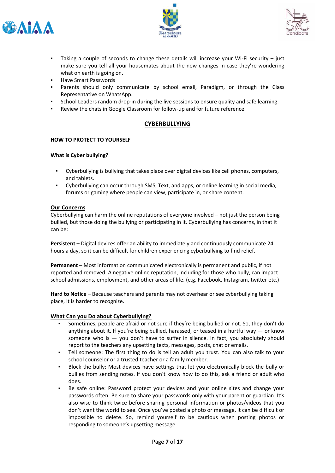





- Taking a couple of seconds to change these details will increase your Wi-Fi security  $-$  just make sure you tell all your housemates about the new changes in case they're wondering what on earth is going on.
- Have Smart Passwords
- Parents should only communicate by school email, Paradigm, or through the Class Representative on WhatsApp.
- School Leaders random drop-in during the live sessions to ensure quality and safe learning.
- Review the chats in Google Classroom for follow-up and for future reference.

#### **CYBERBULLYING**

#### **HOW TO PROTECT TO YOURSELF**

#### **What is Cyber bullying?**

- Cyberbullying is bullying that takes place over digital devices like cell phones, computers, and tablets.
- Cyberbullying can occur through SMS, Text, and apps, or online learning in social media, forums or gaming where people can view, participate in, or share content.

#### **Our Concerns**

Cyberbullying can harm the online reputations of everyone involved – not just the person being bullied, but those doing the bullying or participating in it. Cyberbullying has concerns, in that it can be:

**Persistent** – Digital devices offer an ability to immediately and continuously communicate 24 hours a day, so it can be difficult for children experiencing cyberbullying to find relief.

**Permanent** – Most information communicated electronically is permanent and public, if not reported and removed. A negative online reputation, including for those who bully, can impact school admissions, employment, and other areas of life. (e.g. Facebook, Instagram, twitter etc.)

**Hard to Notice** – Because teachers and parents may not overhear or see cyberbullying taking place, it is harder to recognize.

#### **What Can you Do about Cyberbullying?**

- Sometimes, people are afraid or not sure if they're being bullied or not. So, they don't do anything about it. If you're being bullied, harassed, or teased in a hurtful way  $-$  or know someone who is — you don't have to suffer in silence. In fact, you absolutely should report to the teachers any upsetting texts, messages, posts, chat or emails.
- Tell someone: The first thing to do is tell an adult you trust. You can also talk to your school counselor or a trusted teacher or a family member.
- Block the bully: Most devices have settings that let you electronically block the bully or bullies from sending notes. If you don't know how to do this, ask a friend or adult who does.
- Be safe online: Password protect your devices and your online sites and change your passwords often. Be sure to share your passwords only with your parent or guardian. It's also wise to think twice before sharing personal information or photos/videos that you don't want the world to see. Once you've posted a photo or message, it can be difficult or impossible to delete. So, remind yourself to be cautious when posting photos or responding to someone's upsetting message.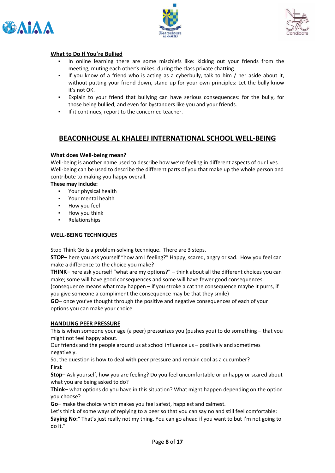





#### **What to Do If You're Bullied**

- In online learning there are some mischiefs like: kicking out your friends from the meeting, muting each other's mikes, during the class private chatting.
- If you know of a friend who is acting as a cyberbully, talk to him  $/$  her aside about it, without putting your friend down, stand up for your own principles: Let the bully know it's not OK.
- Explain to your friend that bullying can have serious consequences: for the bully, for those being bullied, and even for bystanders like you and your friends.
- If it continues, report to the concerned teacher.

## **BEACONHOUSE AL KHALEEJ INTERNATIONAL SCHOOL WELL-BEING**

#### **What does Well-being mean?**

Well-being is another name used to describe how we're feeling in different aspects of our lives. Well-being can be used to describe the different parts of you that make up the whole person and contribute to making you happy overall.

#### **These may include:**

- Your physical health
- Your mental health
- How you feel
- How you think
- Relationships

#### **WELL-BEING TECHNIQUES**

Stop Think Go is a problem-solving technique. There are 3 steps.

**STOP**– here you ask yourself "how am I feeling?" Happy, scared, angry or sad. How you feel can make a difference to the choice you make?

**THINK**– here ask yourself "what are my options?" – think about all the different choices you can make; some will have good consequences and some will have fewer good consequences.

(consequence means what may happen – if you stroke a cat the consequence maybe it purrs, if you give someone a compliment the consequence may be that they smile)

**GO**– once you've thought through the positive and negative consequences of each of your options you can make your choice.

#### **HANDLING PEER PRESSURE**

This is when someone your age (a peer) pressurizes you (pushes you) to do something – that you might not feel happy about.

Our friends and the people around us at school influence us – positively and sometimes negatively.

So, the question is how to deal with peer pressure and remain cool as a cucumber? **First**

**Stop**– Ask yourself, how you are feeling? Do you feel uncomfortable or unhappy or scared about what you are being asked to do?

**Think**– what options do you have in this situation? What might happen depending on the option you choose?

**Go**– make the choice which makes you feel safest, happiest and calmest.

Let's think of some ways of replying to a peer so that you can say no and still feel comfortable: **Saying No:**" That's just really not my thing. You can go ahead if you want to but I'm not going to do it."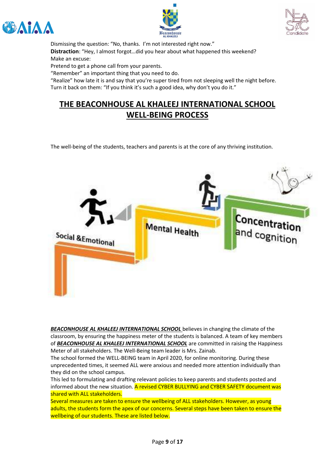





Dismissing the question: "No, thanks. I'm not interested right now." **Distraction**: "Hey, I almost forgot…did you hear about what happened this weekend? Make an excuse:

Pretend to get a phone call from your parents.

"Remember" an important thing that you need to do.

"Realize" how late it is and say that you're super tired from not sleeping well the night before. Turn it back on them: "If you think it's such a good idea, why don't you do it."

# **THE BEACONHOUSE AL KHALEEJ INTERNATIONAL SCHOOL WELL-BEING PROCESS**

The well-being of the students, teachers and parents is at the core of any thriving institution.



*BEACONHOUSE AL KHALEEJ INTERNATIONAL SCHOOL* believes in changing the climate of the classroom, by ensuring the happiness meter of the students is balanced. A team of key members of *BEACONHOUSE AL KHALEEJ INTERNATIONAL SCHOOL* are committed in raising the Happiness Meter of all stakeholders. The Well-Being team leader is Mrs. Zainab.

The school formed the WELL-BEING team in April 2020, for online monitoring. During these unprecedented times, it seemed ALL were anxious and needed more attention individually than they did on the school campus.

This led to formulating and drafting relevant policies to keep parents and students posted and informed about the new situation. A revised CYBER BULLYING and CYBER SAFETY document was shared with ALL stakeholders.

Several measures are taken to ensure the wellbeing of ALL stakeholders. However, as young adults, the students form the apex of our concerns. Several steps have been taken to ensure the wellbeing of our students. These are listed below.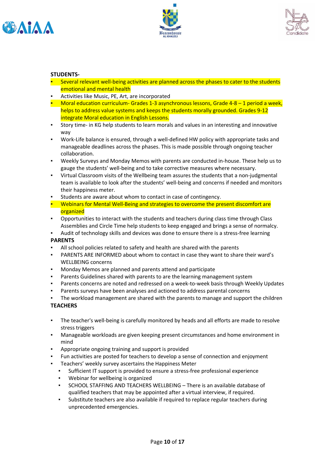





#### **STUDENTS-**

- **•** Several relevant well-being activities are planned across the phases to cater to the students emotional and mental health
- Activities like Music, PE, Art, are incorporated
- **Moral education curriculum- Grades 1-3 asynchronous lessons, Grade 4-8 1 period a week,** helps to address value systems and keeps the students morally grounded. Grades 9-12 integrate Moral education in English Lessons.
- Story time- in KG help students to learn morals and values in an interesting and innovative way
- Work-Life balance is ensured, through a well-defined HW policy with appropriate tasks and manageable deadlines across the phases. This is made possible through ongoing teacher collaboration.
- Weekly Surveys and Monday Memos with parents are conducted in-house. These help us to gauge the students' well-being and to take corrective measures where necessary.
- Virtual Classroom visits of the Wellbeing team assures the students that a non-judgmental team is available to look after the students' well-being and concerns if needed and monitors their happiness meter.
- Students are aware about whom to contact in case of contingency.
- **•** Webinars for Mental Well-Being and strategies to overcome the present discomfort are organized
- Opportunities to interact with the students and teachers during class time through Class Assemblies and Circle Time help students to keep engaged and brings a sense of normalcy.
- Audit of technology skills and devices was done to ensure there is a stress-free learning

#### **PARENTS**

- All school policies related to safety and health are shared with the parents
- PARENTS ARE INFORMED about whom to contact in case they want to share their ward's WELLBEING concerns
- Monday Memos are planned and parents attend and participate
- Parents Guidelines shared with parents to are the learning management system
- Parents concerns are noted and redressed on a week-to-week basis through Weekly Updates
- Parents surveys have been analyses and actioned to address parental concerns
- The workload management are shared with the parents to manage and support the children **TEACHERS**
- The teacher's well-being is carefully monitored by heads and all efforts are made to resolve stress triggers
- Manageable workloads are given keeping present circumstances and home environment in mind
- Appropriate ongoing training and support is provided
- Fun activities are posted for teachers to develop a sense of connection and enjoyment
- Teachers' weekly survey ascertains the Happiness Meter
- Sufficient IT support is provided to ensure a stress-free professional experience
- Webinar for wellbeing is organized
- SCHOOL STAFFING AND TEACHERS WELLBEING There is an available database of qualified teachers that may be appointed after a virtual interview, if required.
- Substitute teachers are also available if required to replace regular teachers during unprecedented emergencies.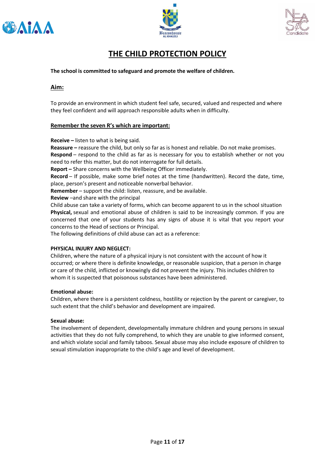





# **THE CHILD PROTECTION POLICY**

**The school is committed to safeguard and promote the welfare of children.**

#### **Aim:**

To provide an environment in which student feel safe, secured, valued and respected and where they feel confident and will approach responsible adults when in difficulty.

#### **Remember the seven R's which are important:**

**Receive –** listen to what is being said.

**Reassure –** reassure the child, but only so far as is honest and reliable. Do not make promises. **Respond** – respond to the child as far as is necessary for you to establish whether or not you need to refer this matter, but do not interrogate for full details.

**Report –** Share concerns with the Wellbeing Officer immediately.

**Record** – If possible, make some brief notes at the time (handwritten). Record the date, time, place, person's present and noticeable nonverbal behavior.

**Remember** – support the child: listen, reassure, and be available.

**Review** –and share with the principal

Child abuse can take a variety of forms, which can become apparent to us in the school situation **Physical,** sexual and emotional abuse of children is said to be increasingly common. If you are concerned that one of your students has any signs of abuse it is vital that you report your concerns to the Head of sections or Principal.

The following definitions of child abuse can act as a reference:

#### **PHYSICAL INJURY AND NEGLECT:**

Children, where the nature of a physical injury is not consistent with the account of how it occurred; or where there is definite knowledge, or reasonable suspicion, that a person in charge or care of the child, inflicted or knowingly did not prevent the injury. This includes children to whom it is suspected that poisonous substances have been administered.

#### **Emotional abuse:**

Children, where there is a persistent coldness, hostility or rejection by the parent or caregiver, to such extent that the child's behavior and development are impaired.

#### **Sexual abuse:**

The involvement of dependent, developmentally immature children and young persons in sexual activities that they do not fully comprehend, to which they are unable to give informed consent, and which violate social and family taboos. Sexual abuse may also include exposure of children to sexual stimulation inappropriate to the child's age and level of development.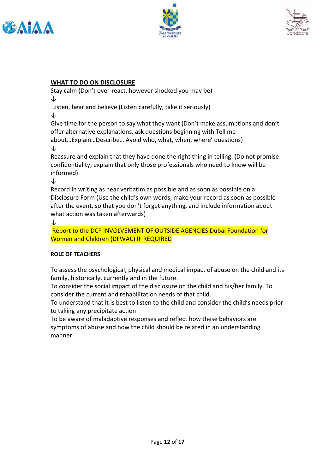





#### **WHAT TO DO ON DISCLOSURE**

Stay calm (Don't over-react, however shocked you may be) ↓

Listen, hear and believe (Listen carefully, take it seriously) ↓

Give time for the person to say what they want (Don't make assumptions and don't offer alternative explanations, ask questions beginning with Tell me about…Explain…Describe… Avoid who, what, when, where' questions) ↓

Reassure and explain that they have done the right thing in telling. (Do not promise confidentiality; explain that only those professionals who need to know will be informed)

↓

Record in writing as near verbatim as possible and as soon as possible on a Disclosure Form (Use the child's own words, make your record as soon as possible after the event, so that you don't forget anything, and include information about what action was taken afterwards)

↓

Report to the DCP INVOLVEMENT OF OUTSIDE AGENCIES Dubai Foundation for Women and Children (DFWAC) IF REQUIRED

#### **ROLE OF TEACHERS**

To assess the psychological, physical and medical impact of abuse on the child and its family, historically, currently and in the future.

To consider the social impact of the disclosure on the child and his/her family. To consider the current and rehabilitation needs of that child.

To understand that it is best to listen to the child and consider the child's needs prior to taking any precipitate action

To be aware of maladaptive responses and reflect how these behaviors are symptoms of abuse and how the child should be related in an understanding manner.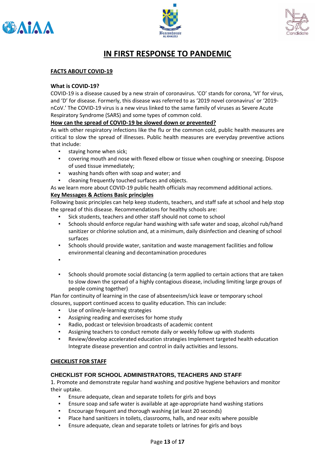





# **IN FIRST RESPONSE TO PANDEMIC**

#### **FACTS ABOUT COVID-19**

#### **What is COVID-19?**

COVID-19 is a disease caused by a new strain of coronavirus. 'CO' stands for corona, 'VI' for virus, and 'D' for disease. Formerly, this disease was referred to as '2019 novel coronavirus' or '2019 nCoV.' The COVID-19 virus is a new virus linked to the same family of viruses as Severe Acute Respiratory Syndrome (SARS) and some types of common cold.

#### **How can the spread of COVID-19 be slowed down or prevented?**

As with other respiratory infections like the flu or the common cold, public health measures are critical to slow the spread of illnesses. Public health measures are everyday preventive actions that include:

- staying home when sick;
- covering mouth and nose with flexed elbow or tissue when coughing or sneezing. Dispose of used tissue immediately;
- washing hands often with soap and water; and
- cleaning frequently touched surfaces and objects.
- As we learn more about COVID-19 public health officials may recommend additional actions.

#### **Key Messages & Actions Basic principles**

Following basic principles can help keep students, teachers, and staff safe at school and help stop the spread of this disease. Recommendations for healthy schools are:

- Sick students, teachers and other staff should not come to school
- Schools should enforce regular hand washing with safe water and soap, alcohol rub/hand sanitizer or chlorine solution and, at a minimum, daily disinfection and cleaning of school surfaces
- Schools should provide water, sanitation and waste management facilities and follow environmental cleaning and decontamination procedures
- ▪
- Schools should promote social distancing (a term applied to certain actions that are taken to slow down the spread of a highly contagious disease, including limiting large groups of people coming together)

Plan for continuity of learning in the case of absenteeism/sick leave or temporary school closures, support continued access to quality education. This can include:

- Use of online/e-learning strategies
- Assigning reading and exercises for home study
- Radio, podcast or television broadcasts of academic content
- Assigning teachers to conduct remote daily or weekly follow up with students
- Review/develop accelerated education strategies Implement targeted health education Integrate disease prevention and control in daily activities and lessons.

#### **CHECKLIST FOR STAFF**

#### **CHECKLIST FOR SCHOOL ADMINISTRATORS, TEACHERS AND STAFF**

1. Promote and demonstrate regular hand washing and positive hygiene behaviors and monitor their uptake.

- Ensure adequate, clean and separate toilets for girls and boys
- Ensure soap and safe water is available at age-appropriate hand washing stations
- Encourage frequent and thorough washing (at least 20 seconds)
- Place hand sanitizers in toilets, classrooms, halls, and near exits where possible
- Ensure adequate, clean and separate toilets or latrines for girls and boys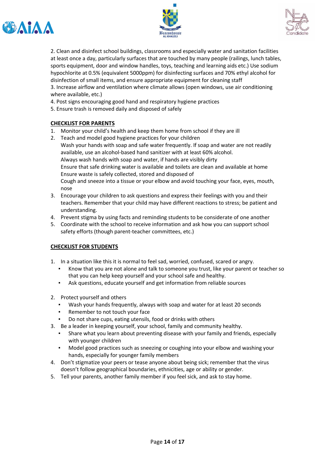





2. Clean and disinfect school buildings, classrooms and especially water and sanitation facilities at least once a day, particularly surfaces that are touched by many people (railings, lunch tables, sports equipment, door and window handles, toys, teaching and learning aids etc.) Use sodium hypochlorite at 0.5% (equivalent 5000ppm) for disinfecting surfaces and 70% ethyl alcohol for disinfection of small items, and ensure appropriate equipment for cleaning staff 3. Increase airflow and ventilation where climate allows (open windows, use air conditioning where available, etc.)

4. Post signs encouraging good hand and respiratory hygiene practices

5. Ensure trash is removed daily and disposed of safely

#### **CHECKLIST FOR PARENTS**

- 1. Monitor your child's health and keep them home from school if they are ill
- 2. Teach and model good hygiene practices for your children Wash your hands with soap and safe water frequently. If soap and water are not readily available, use an alcohol-based hand sanitizer with at least 60% alcohol. Always wash hands with soap and water, if hands are visibly dirty Ensure that safe drinking water is available and toilets are clean and available at home Ensure waste is safely collected, stored and disposed of Cough and sneeze into a tissue or your elbow and avoid touching your face, eyes, mouth, nose
- 3. Encourage your children to ask questions and express their feelings with you and their teachers. Remember that your child may have different reactions to stress; be patient and understanding.
- 4. Prevent stigma by using facts and reminding students to be considerate of one another
- 5. Coordinate with the school to receive information and ask how you can support school safety efforts (though parent-teacher committees, etc.)

#### **CHECKLIST FOR STUDENTS**

- 1. In a situation like this it is normal to feel sad, worried, confused, scared or angry.
	- Know that you are not alone and talk to someone you trust, like your parent or teacher so that you can help keep yourself and your school safe and healthy.
	- Ask questions, educate yourself and get information from reliable sources
- 2. Protect yourself and others
	- Wash your hands frequently, always with soap and water for at least 20 seconds
	- Remember to not touch your face
	- Do not share cups, eating utensils, food or drinks with others
- 3. Be a leader in keeping yourself, your school, family and community healthy.
	- Share what you learn about preventing disease with your family and friends, especially with younger children
	- Model good practices such as sneezing or coughing into your elbow and washing your hands, especially for younger family members
- 4. Don't stigmatize your peers or tease anyone about being sick; remember that the virus doesn't follow geographical boundaries, ethnicities, age or ability or gender.
- 5. Tell your parents, another family member if you feel sick, and ask to stay home.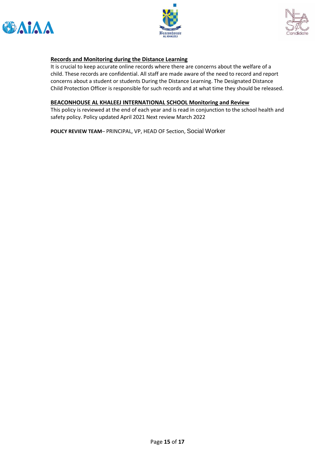





#### **Records and Monitoring during the Distance Learning**

It is crucial to keep accurate online records where there are concerns about the welfare of a child. These records are confidential. All staff are made aware of the need to record and report concerns about a student or students During the Distance Learning. The Designated Distance Child Protection Officer is responsible for such records and at what time they should be released.

#### **BEACONHOUSE AL KHALEEJ INTERNATIONAL SCHOOL Monitoring and Review**

This policy is reviewed at the end of each year and is read in conjunction to the school health and safety policy. Policy updated April 2021 Next review March 2022

**POLICY REVIEW TEAM**– PRINCIPAL, VP, HEAD OF Section, Social Worker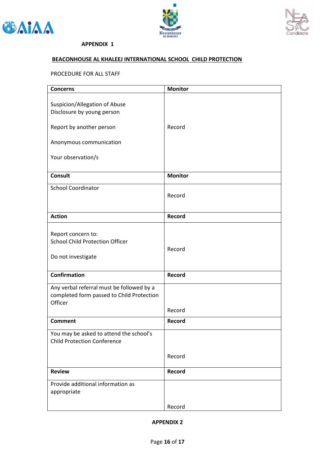





#### **APPENDIX 1**

#### **BEACONHOUSE AL KHALEEJ INTERNATIONAL SCHOOL CHILD PROTECTION**

#### PROCEDURE FOR ALL STAFF

| <b>Concerns</b>                                                                                   | <b>Monitor</b> |
|---------------------------------------------------------------------------------------------------|----------------|
| Suspicion/Allegation of Abuse<br>Disclosure by young person                                       |                |
| Report by another person                                                                          | Record         |
| Anonymous communication                                                                           |                |
| Your observation/s                                                                                |                |
| <b>Consult</b>                                                                                    | <b>Monitor</b> |
| <b>School Coordinator</b>                                                                         | Record         |
| <b>Action</b>                                                                                     | Record         |
| Report concern to:<br><b>School Child Protection Officer</b><br>Do not investigate                | Record         |
| <b>Confirmation</b>                                                                               | Record         |
| Any verbal referral must be followed by a<br>completed form passed to Child Protection<br>Officer |                |
|                                                                                                   | Record         |
| <b>Comment</b>                                                                                    | Record         |
| You may be asked to attend the school's<br><b>Child Protection Conference</b>                     |                |
|                                                                                                   | Record         |
| <b>Review</b>                                                                                     | Record         |
| Provide additional information as<br>appropriate                                                  |                |
|                                                                                                   | Record         |

**APPENDIX 2**